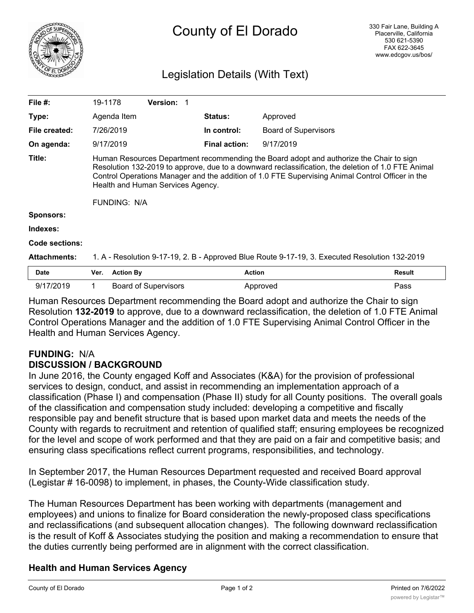

# Legislation Details (With Text)

| File $#$ :          | 19-1178                                                                                                                                                                                                                                                                                                                                                       |                  | <b>Version: 1</b>           |                      |                             |               |
|---------------------|---------------------------------------------------------------------------------------------------------------------------------------------------------------------------------------------------------------------------------------------------------------------------------------------------------------------------------------------------------------|------------------|-----------------------------|----------------------|-----------------------------|---------------|
| Type:               |                                                                                                                                                                                                                                                                                                                                                               | Agenda Item      |                             | <b>Status:</b>       | Approved                    |               |
| File created:       |                                                                                                                                                                                                                                                                                                                                                               | 7/26/2019        |                             | In control:          | <b>Board of Supervisors</b> |               |
| On agenda:          |                                                                                                                                                                                                                                                                                                                                                               | 9/17/2019        |                             | <b>Final action:</b> | 9/17/2019                   |               |
| Title:              | Human Resources Department recommending the Board adopt and authorize the Chair to sign<br>Resolution 132-2019 to approve, due to a downward reclassification, the deletion of 1.0 FTE Animal<br>Control Operations Manager and the addition of 1.0 FTE Supervising Animal Control Officer in the<br>Health and Human Services Agency.<br><b>FUNDING: N/A</b> |                  |                             |                      |                             |               |
| <b>Sponsors:</b>    |                                                                                                                                                                                                                                                                                                                                                               |                  |                             |                      |                             |               |
| Indexes:            |                                                                                                                                                                                                                                                                                                                                                               |                  |                             |                      |                             |               |
| Code sections:      |                                                                                                                                                                                                                                                                                                                                                               |                  |                             |                      |                             |               |
| <b>Attachments:</b> | 1. A - Resolution 9-17-19, 2. B - Approved Blue Route 9-17-19, 3. Executed Resolution 132-2019                                                                                                                                                                                                                                                                |                  |                             |                      |                             |               |
| <b>Date</b>         | Ver.                                                                                                                                                                                                                                                                                                                                                          | <b>Action By</b> |                             | <b>Action</b>        |                             | <b>Result</b> |
| 9/17/2019           |                                                                                                                                                                                                                                                                                                                                                               |                  | <b>Board of Supervisors</b> |                      | Approved                    | Pass          |

Human Resources Department recommending the Board adopt and authorize the Chair to sign Resolution **132-2019** to approve, due to a downward reclassification, the deletion of 1.0 FTE Animal Control Operations Manager and the addition of 1.0 FTE Supervising Animal Control Officer in the Health and Human Services Agency.

# **FUNDING:** N/A **DISCUSSION / BACKGROUND**

In June 2016, the County engaged Koff and Associates (K&A) for the provision of professional services to design, conduct, and assist in recommending an implementation approach of a classification (Phase I) and compensation (Phase II) study for all County positions. The overall goals of the classification and compensation study included: developing a competitive and fiscally responsible pay and benefit structure that is based upon market data and meets the needs of the County with regards to recruitment and retention of qualified staff; ensuring employees be recognized for the level and scope of work performed and that they are paid on a fair and competitive basis; and ensuring class specifications reflect current programs, responsibilities, and technology.

In September 2017, the Human Resources Department requested and received Board approval (Legistar # 16-0098) to implement, in phases, the County-Wide classification study.

The Human Resources Department has been working with departments (management and employees) and unions to finalize for Board consideration the newly-proposed class specifications and reclassifications (and subsequent allocation changes). The following downward reclassification is the result of Koff & Associates studying the position and making a recommendation to ensure that the duties currently being performed are in alignment with the correct classification.

# **Health and Human Services Agency**